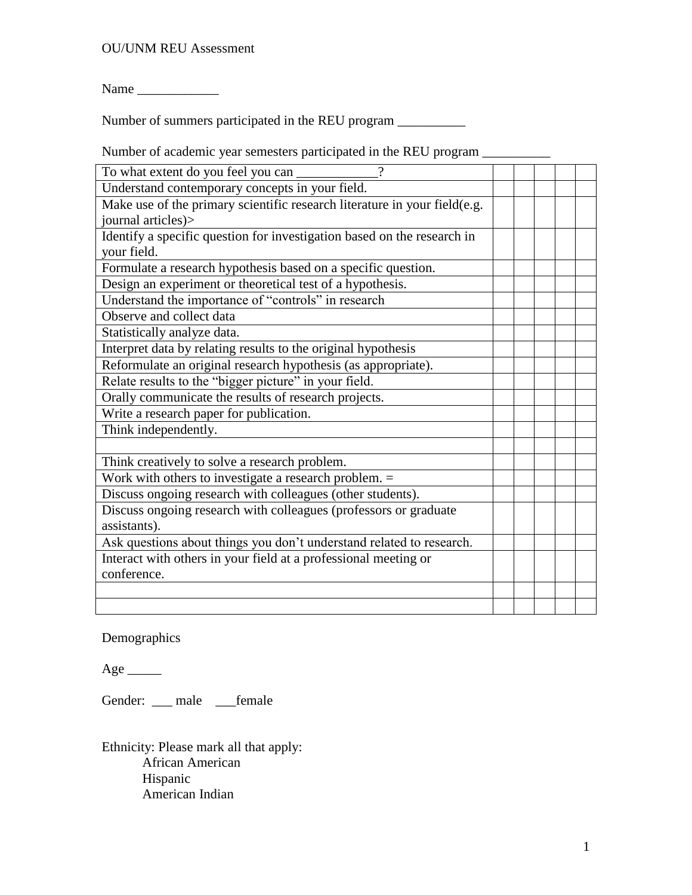## OU/UNM REU Assessment

Name

Number of summers participated in the REU program \_\_\_\_\_\_\_\_\_\_\_\_\_\_\_\_\_\_\_\_\_\_\_\_\_\_\_\_\_\_\_

Number of academic year semesters participated in the REU program \_\_\_\_\_\_\_\_\_\_\_\_\_\_

| To what extent do you feel you can<br>$\gamma$                            |  |  |  |
|---------------------------------------------------------------------------|--|--|--|
| Understand contemporary concepts in your field.                           |  |  |  |
| Make use of the primary scientific research literature in your field(e.g. |  |  |  |
| journal articles)>                                                        |  |  |  |
| Identify a specific question for investigation based on the research in   |  |  |  |
| your field.                                                               |  |  |  |
| Formulate a research hypothesis based on a specific question.             |  |  |  |
| Design an experiment or theoretical test of a hypothesis.                 |  |  |  |
| Understand the importance of "controls" in research                       |  |  |  |
| Observe and collect data                                                  |  |  |  |
| Statistically analyze data.                                               |  |  |  |
| Interpret data by relating results to the original hypothesis             |  |  |  |
| Reformulate an original research hypothesis (as appropriate).             |  |  |  |
| Relate results to the "bigger picture" in your field.                     |  |  |  |
| Orally communicate the results of research projects.                      |  |  |  |
| Write a research paper for publication.                                   |  |  |  |
| Think independently.                                                      |  |  |  |
|                                                                           |  |  |  |
| Think creatively to solve a research problem.                             |  |  |  |
| Work with others to investigate a research problem. $=$                   |  |  |  |
| Discuss ongoing research with colleagues (other students).                |  |  |  |
| Discuss ongoing research with colleagues (professors or graduate          |  |  |  |
| assistants).                                                              |  |  |  |
| Ask questions about things you don't understand related to research.      |  |  |  |
| Interact with others in your field at a professional meeting or           |  |  |  |
| conference.                                                               |  |  |  |
|                                                                           |  |  |  |
|                                                                           |  |  |  |

Demographics

 $Age$ <sub>\_\_\_\_\_\_\_</sub>

Gender: \_\_\_ male \_\_\_female

Ethnicity: Please mark all that apply: African American Hispanic American Indian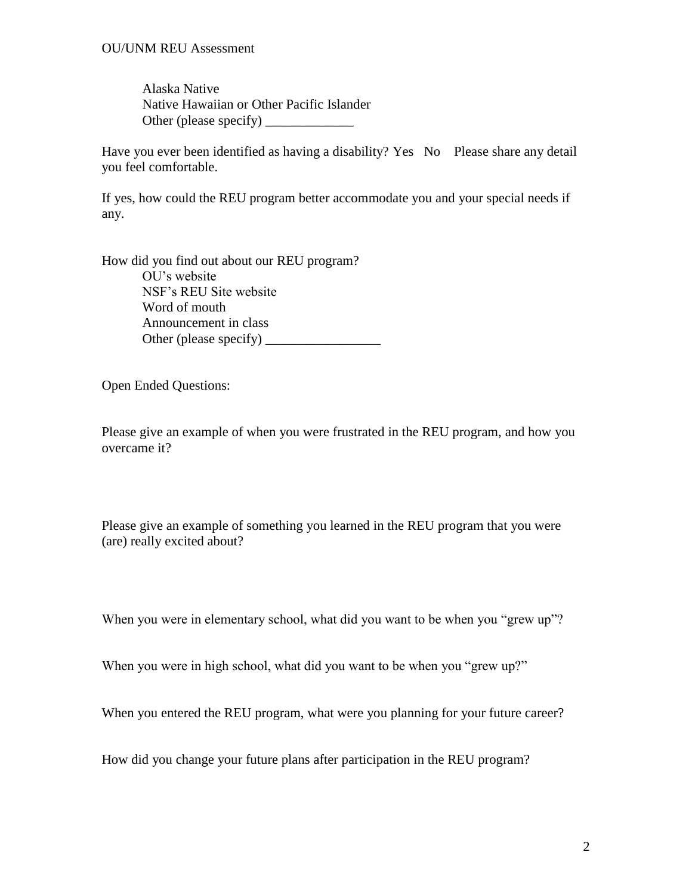Alaska Native Native Hawaiian or Other Pacific Islander Other (please specify) \_\_\_\_\_\_\_\_\_\_\_\_\_

Have you ever been identified as having a disability? Yes No Please share any detail you feel comfortable.

If yes, how could the REU program better accommodate you and your special needs if any.

How did you find out about our REU program? OU's website NSF's REU Site website Word of mouth Announcement in class Other (please specify) \_\_\_\_\_\_\_\_\_\_\_\_\_\_\_\_\_

Open Ended Questions:

Please give an example of when you were frustrated in the REU program, and how you overcame it?

Please give an example of something you learned in the REU program that you were (are) really excited about?

When you were in elementary school, what did you want to be when you "grew up"?

When you were in high school, what did you want to be when you "grew up?"

When you entered the REU program, what were you planning for your future career?

How did you change your future plans after participation in the REU program?